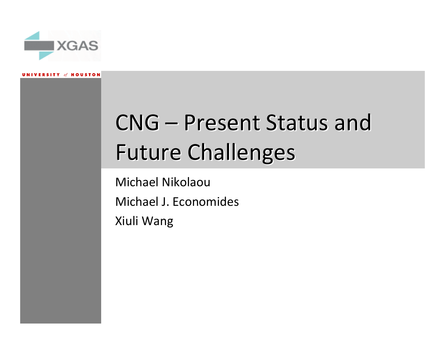

# CNG – Present Status and Future Challenges

Michael NikolaouMichael J. EconomidesXiuli Wang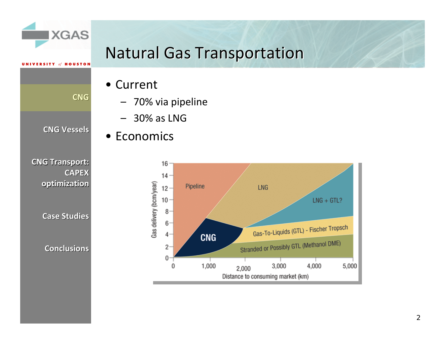

SA.

**CNG**

### **Natural Gas Transportation**

- Current
	- –70% via pipeline
	- –30% as LNG
- Economics



**CNG Transport: Transport: CAPEX**

**optimization optimization**

**CNG Vessels Vessels**

**Case Studies Studies**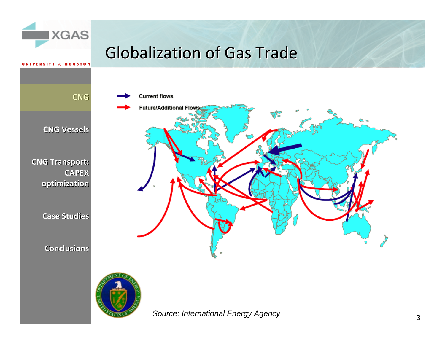

*Source: International Energy Agency*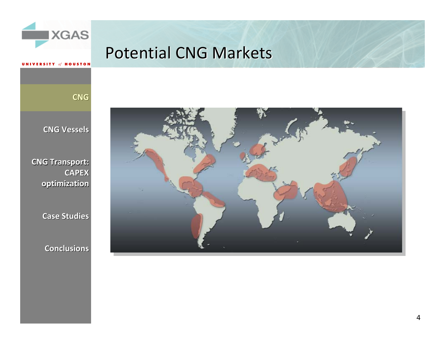

### Potential CNG Markets

**CNG**

**HOUSTON** 

**CNG Vessels Vessels**

**CNG Transport: Transport: CAPEX optimization optimization**

**Case Studies Studies**

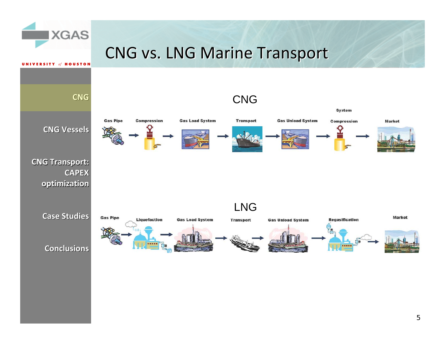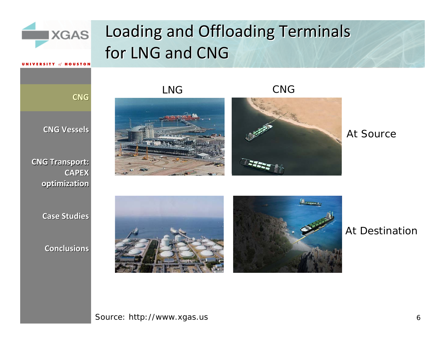

*Openings*

**CNG**

## Loading and Offloading Terminals for LNG and CNG

LNG



CNG



At Source

**Case Studies Studies**

**optimization optimization**

**CNG Vessels Vessels**

**CNG Transport: Transport:**

**CAPEX**

**Conclusions Conclusions**



At Destination

### Source: http://www.xgas.us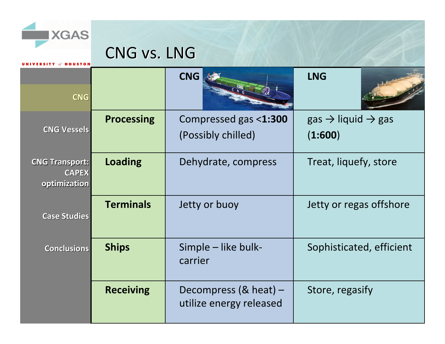

**OUSTON** 

CNG vs. LNG

| <b>CNG</b>                                            |                   | <b>CNG</b>                                                 | <b>LNG</b>                                          |
|-------------------------------------------------------|-------------------|------------------------------------------------------------|-----------------------------------------------------|
| <b>CNG Vessels</b>                                    | <b>Processing</b> | Compressed gas <1:300<br>(Possibly chilled)                | $gas \rightarrow liquid \rightarrow gas$<br>(1:600) |
| <b>CNG Transport:</b><br><b>CAPEX</b><br>optimization | <b>Loading</b>    | Dehydrate, compress                                        | Treat, liquefy, store                               |
| <b>Case Studies</b>                                   | <b>Terminals</b>  | Jetty or buoy                                              | Jetty or regas offshore                             |
| <b>Conclusions</b>                                    | <b>Ships</b>      | Simple - like bulk-<br>carrier                             | Sophisticated, efficient                            |
|                                                       | <b>Receiving</b>  | Decompress $(8 \text{ heat})$ –<br>utilize energy released | Store, regasify                                     |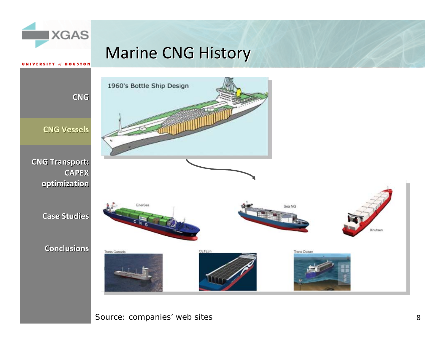

### Marine CNG History



Source: companies' web sites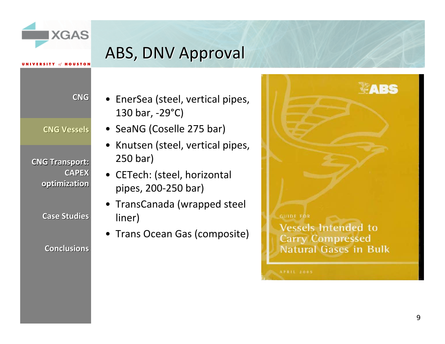

## ABS, DNV Approval

**CNG**

*Of* HOUSTO

**CNG Vessels Vessels**

**CNG Transport: Transport: CAPEX optimization optimization**

**Case Studies Studies**

- EnerSea (steel, vertical pipes, 130 bar, ‐29°C)
- SeaNG (Coselle 275 bar)
- •• Knutsen (steel, vertical pipes, 250 bar)
- CETech: (steel, horizontal pipes, 200‐250 bar)
- TransCanada (wrapped steel liner)
- Trans Ocean Gas (composite)

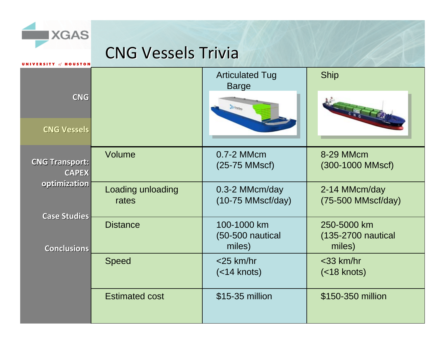### CNG Vessels Trivia

SA.

| NIVERSITY of HOUSTON                                  |                            |                                             |                                             |
|-------------------------------------------------------|----------------------------|---------------------------------------------|---------------------------------------------|
|                                                       |                            | <b>Articulated Tug</b><br><b>Barge</b>      | <b>Ship</b>                                 |
| <b>CNG</b>                                            |                            | <b>Ja trento</b>                            |                                             |
| <b>CNG Vessels</b>                                    |                            |                                             |                                             |
| <b>CNG Transport:</b><br><b>CAPEX</b><br>optimization | Volume                     | 0.7-2 MMcm<br>$(25-75$ MMscf)               | 8-29 MMcm<br>(300-1000 MMscf)               |
|                                                       | Loading unloading<br>rates | 0.3-2 MMcm/day<br>$(10-75$ MMscf/day)       | 2-14 MMcm/day<br>$(75-500$ MMscf/day)       |
| <b>Case Studies</b><br><b>Conclusions</b>             | <b>Distance</b>            | 100-1000 km<br>$(50-500$ nautical<br>miles) | 250-5000 km<br>(135-2700 nautical<br>miles) |
|                                                       | <b>Speed</b>               | $<$ 25 km/hr<br>$(<$ 14 knots)              | $<$ 33 km/hr<br>$(<$ 18 knots)              |
|                                                       | <b>Estimated cost</b>      | \$15-35 million                             | \$150-350 million                           |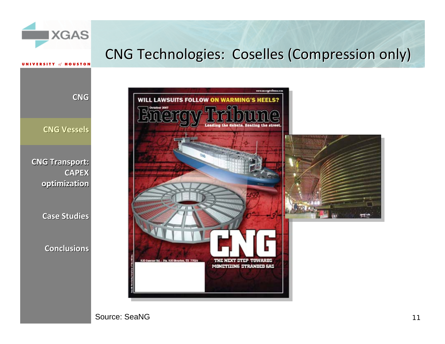

**CAPEX optimization optimization**

**Case Studies Studies**

**Conclusions Conclusions**



Source: SeaNG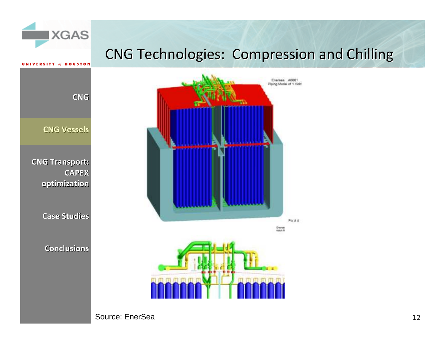





Source: EnerSea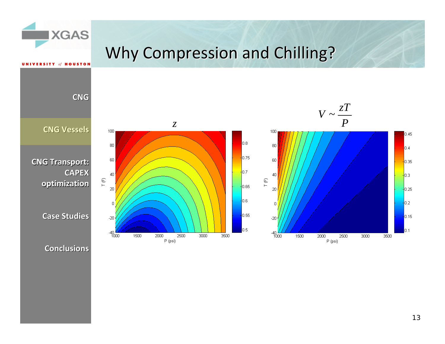### Why Compression and Chilling?



SA.

**HOUSTON** 

**CNG**

100

80

60

40

20

 $\mathbf 0$ 

 $-20$ 

 $\top$  (F)

**CNG Transport: Transport: CAPEX optimization optimization**

**Case Studies Studies**

**Conclusions Conclusions**





100



 $0.45$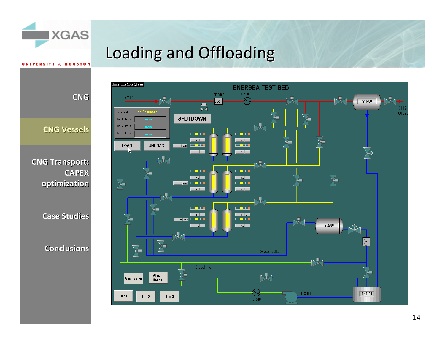

**IINIVEDSITY** 

## Loading and Offloading

**CNG**

 $of$  **HOUSTON** 

**CNG Vessels Vessels**

**CNG Transport: Transport: CAPEX optimization optimization**

**Case Studies Studies**

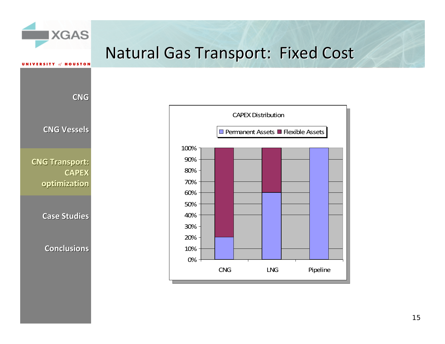

**CNG**

**CNG Vessels Vessels**

**CNG Transport: Transport: CAPEX optimization optimization**

**Case Studies Studies**

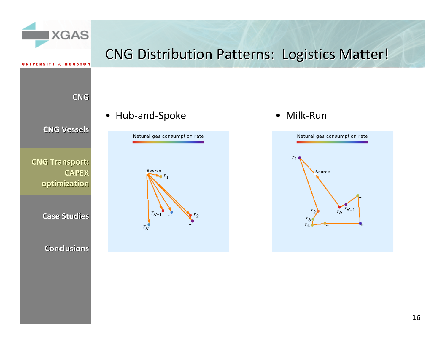

### CNG Distribution Patterns: Logistics Matter!

**CNG**

 $of$  **HOUSTON** 

**CNG Vessels Vessels**

**CNG Transport: Transport: CAPEX optimization optimization**

**Case Studies Studies**

**Conclusions Conclusions**

### $\bullet$ Hub-and-Spoke • Milk-Run



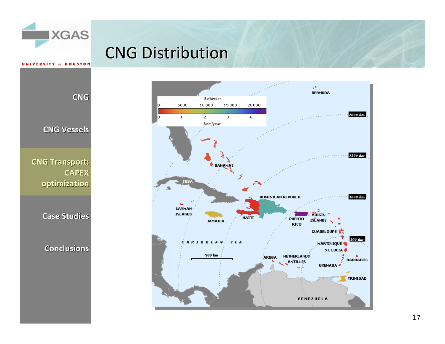### **CNG Distribution**



**CNG Vessels Vessels**

**CNG**

**UNIVERSITY of HOUSTON** 

SA.

**CNG Transport: Transport: CAPEX optimization optimization**

**Case Studies Studies**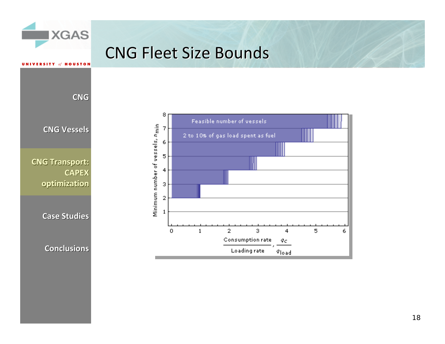

**CNG Transport: Transport: optimization optimization**

**Case Studies Studies**

**Conclusions Conclusions**

5

6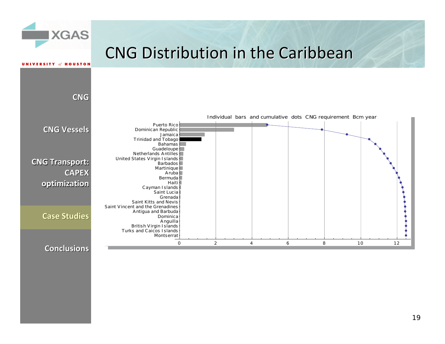### CNG Distribution in the Caribbean

SA.

**RSITY of HOUSTON** 

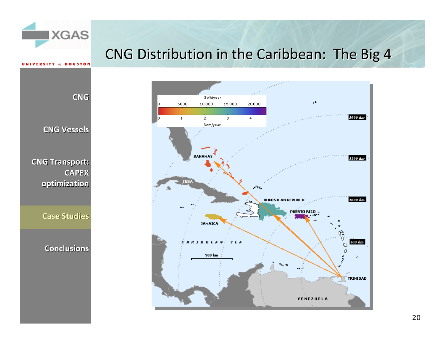### CNG Distribution in the Caribbean: The Big 4



**CNG**

**HOUSTON** 

SA.

**CNG Vessels Vessels**

**CNG Transport: Transport: CAPEX optimization optimization**

**Case Studies Studies**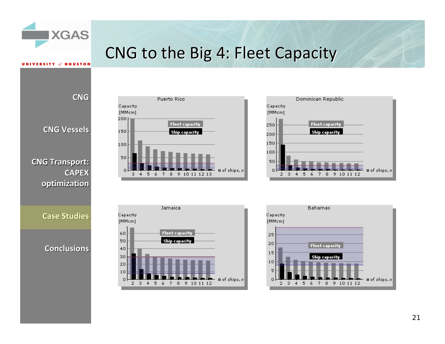

**VERSITY** of **HOUSTON** 

### CNG to the Big 4: Fleet Capacity

**CNG**

**CNG Vessels Vessels**

**CNG Transport: Transport: CAPEXoptimization optimization**

**Case Studies Studies**







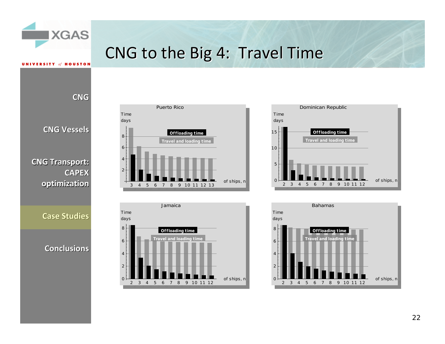

**UNIVERSITY of HOUSTON** 

### CNG to the Big 4: Travel Time

**CNG**

**CNG Vessels Vessels**

**CNG Transport: Transport: CAPEX optimization optimization**

**Case Studies Studies**







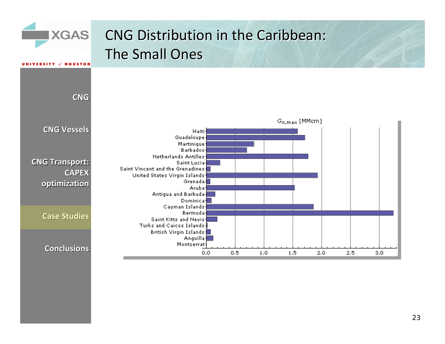

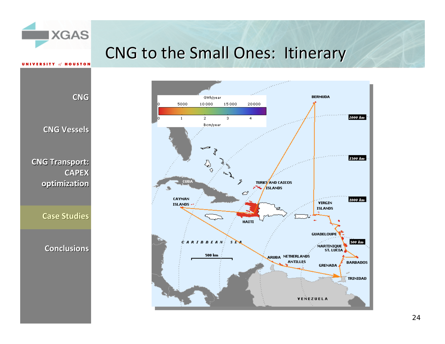### CNG to the Small Ones: Itinerary



**CNG**

SA.

**CNG Vessels Vessels**

**UNIVERSITY of HOUSTON** 

**CNG Transport: Transport: CAPEX optimization optimization**

**Case Studies Studies**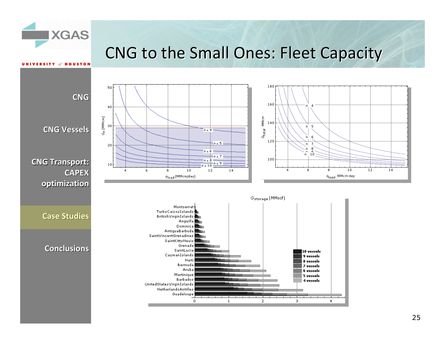

**UNIVERSITY** of **HOUSTON** 

### CNG to the Small Ones: Fleet Capacity

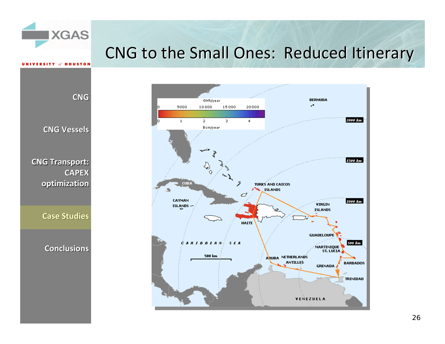### CNG to the Small Ones: Reduced Itinerary

ingeren i **BERMUDA** GWh/year ä. 5000 10000 15000 20000 en er er en en en en en an 2000 km  $\mathbf{1}$  $\overline{2}$  $\overline{3}$  $\overline{4}$ Bcm/year 1500 km ू **CUBA TURKS AND CAICOS**  $F^{\text{max}}$  ISLANDS c CAYMAN 1000 km **VIRGIN**  $ISLANDS -$ **ISLANDS** НАІТІ **GUADELOUPE** CARIBBEAN SEA 500 km MARTINIQUE 500 km ARUBA NETHERLANDS **ANTILLES BARBADOS GRENADA TRINIDAD** VENEZUELA

**CNG**

SA.

 $of$  **HOUSTON** 

**CNG Vessels Vessels**

**CNG Transport: Transport: CAPEX optimization optimization**

**Case Studies Studies**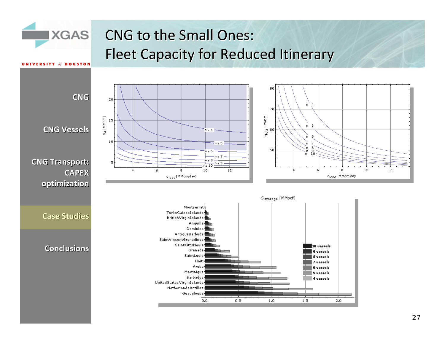### CNG to the Small Ones: Fleet Capacity for Reduced Itinerary

SA.

**UNIVERSITY** of **HOUSTON** 

80**CNG** 20 *n* 470  $G_{\mathcal{D}}$  [MMcm] *G*tota l MMcm 5*n***CNG Vessels Vessels**  $n = 4 -$ 60 *n* 6 $10$  $\frac{1}{2}n = 5$   $\Box$ n 7  $\circ$ 50-6 n 9<br>n 10 *nn* $n = 7$ .<br>n = 8 **CNG Transport: Transport:** 5  $n = 9$  $= 10$  $\overline{4}$ 6 8 10  $12$ 4 6 8 10 12 **CAPEX**  $\bar{q}_{\mathsf{load}}$  [MMcm/day] *q*load MMcm day **optimization optimization** Gstorage [MMscf] Montserrat TurksCaicosIslands **Case Studies StudiesBritishVirginIslands** Anguilla Dominica AntiguaBarbuda SaintVincentGrenadines SaintKittsNevis 10 vessels **Conclusions Conclusions** Grenada 9 vessels SaintLucia 8 vessels Haiti 7 vessels Aruba **6** vessels Martinique 5 vessels Barbados 4 vessels UnitedStatesVirginIslands NetherlandsAntilles Guadeloupe  $0.5$  $1,5$  $0,0$  $1.0$  $2,0$